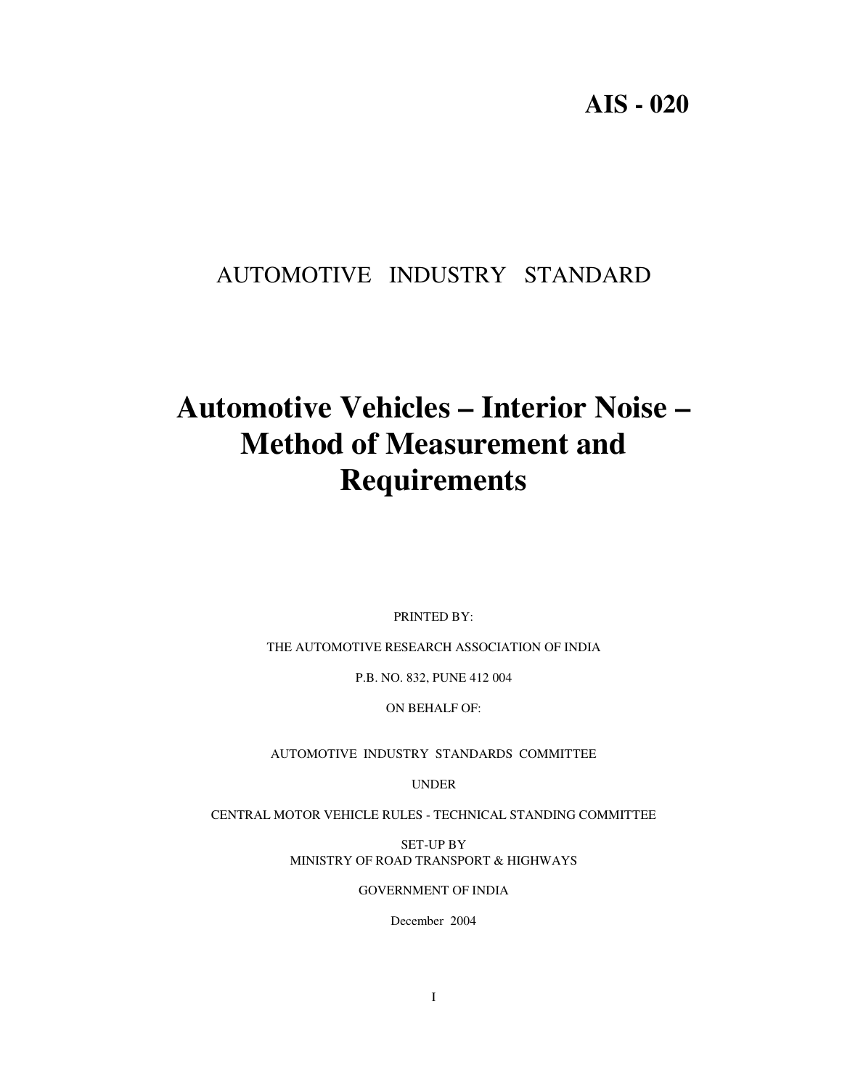# **AIS - 020**

# AUTOMOTIVE INDUSTRY STANDARD

# **Automotive Vehicles – Interior Noise – Method of Measurement and Requirements**

PRINTED BY:

THE AUTOMOTIVE RESEARCH ASSOCIATION OF INDIA

P.B. NO. 832, PUNE 412 004

ON BEHALF OF:

AUTOMOTIVE INDUSTRY STANDARDS COMMITTEE

UNDER

CENTRAL MOTOR VEHICLE RULES - TECHNICAL STANDING COMMITTEE

SET-UP BY MINISTRY OF ROAD TRANSPORT & HIGHWAYS

GOVERNMENT OF INDIA

December 2004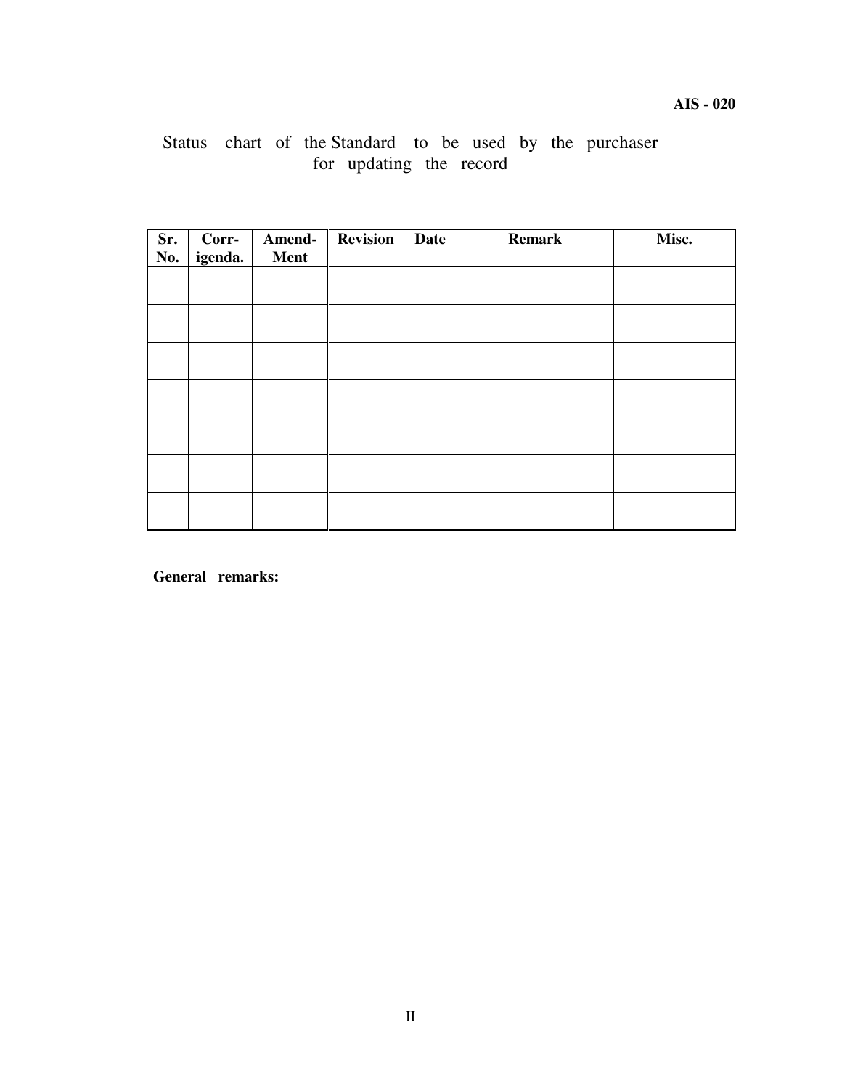# Status chart of the Standard to be used by the purchaser for updating the record

| Sr.<br>No. | Corr-<br>igenda. | Amend-<br>Ment | Revision | <b>Date</b> | <b>Remark</b> | Misc. |
|------------|------------------|----------------|----------|-------------|---------------|-------|
|            |                  |                |          |             |               |       |
|            |                  |                |          |             |               |       |
|            |                  |                |          |             |               |       |
|            |                  |                |          |             |               |       |
|            |                  |                |          |             |               |       |
|            |                  |                |          |             |               |       |
|            |                  |                |          |             |               |       |

**General remarks:**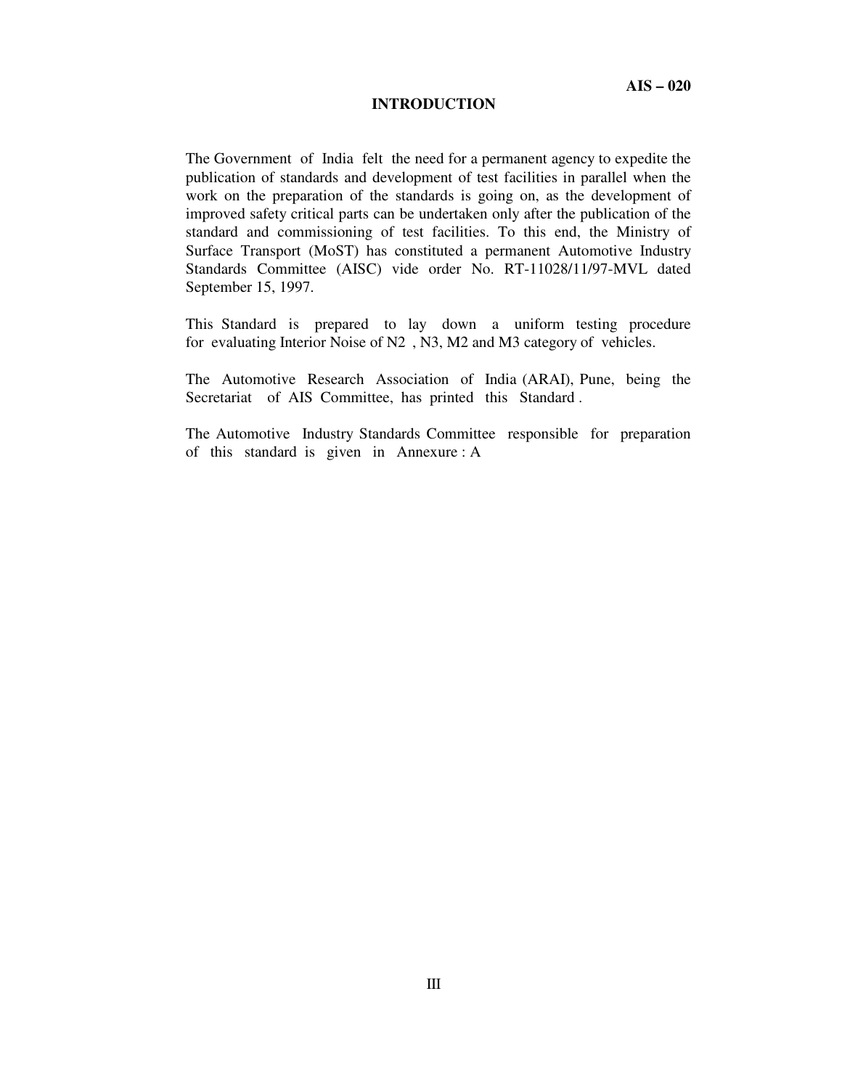#### **INTRODUCTION**

The Government of India felt the need for a permanent agency to expedite the publication of standards and development of test facilities in parallel when the work on the preparation of the standards is going on, as the development of improved safety critical parts can be undertaken only after the publication of the standard and commissioning of test facilities. To this end, the Ministry of Surface Transport (MoST) has constituted a permanent Automotive Industry Standards Committee (AISC) vide order No. RT-11028/11/97-MVL dated September 15, 1997.

This Standard is prepared to lay down a uniform testing procedure for evaluating Interior Noise of N2 , N3, M2 and M3 category of vehicles.

The Automotive Research Association of India (ARAI), Pune, being the Secretariat of AIS Committee, has printed this Standard.

The Automotive Industry Standards Committee responsible for preparation of this standard is given in Annexure : A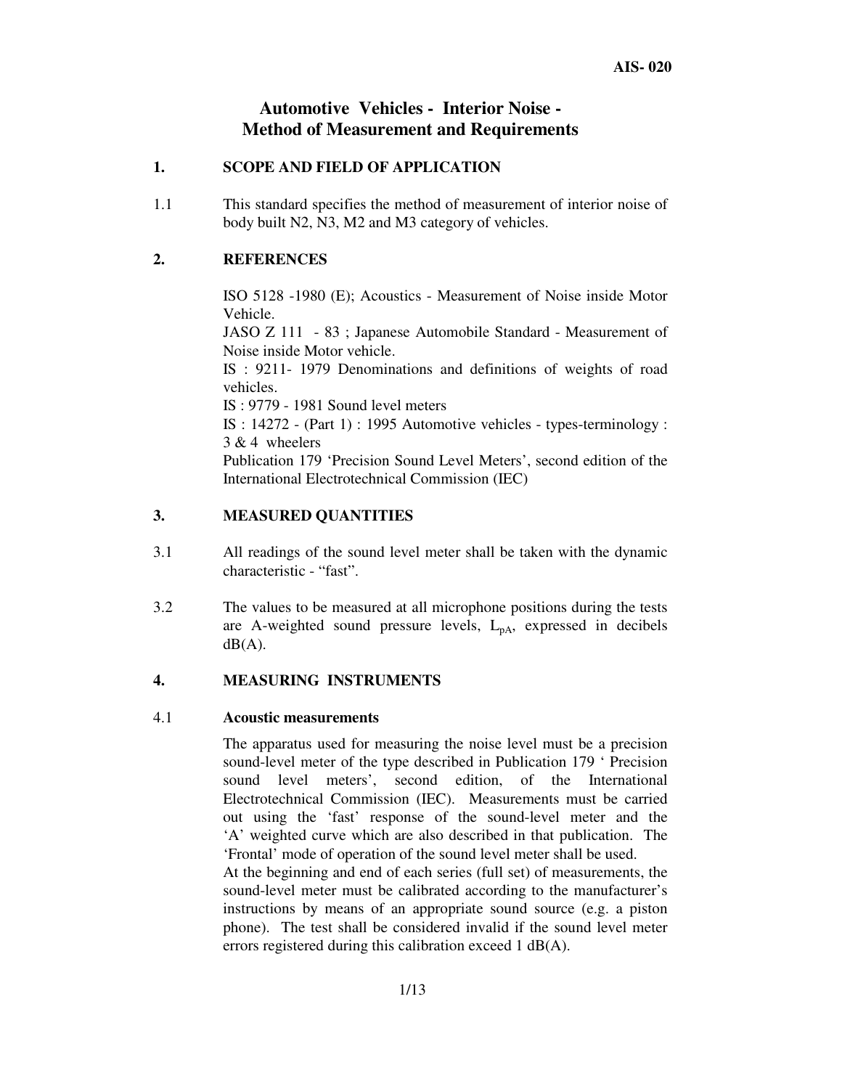# **Automotive Vehicles - Interior Noise - Method of Measurement and Requirements**

# **1. SCOPE AND FIELD OF APPLICATION**

1.1 This standard specifies the method of measurement of interior noise of body built N2, N3, M2 and M3 category of vehicles.

# **2. REFERENCES**

ISO 5128 -1980 (E); Acoustics - Measurement of Noise inside Motor Vehicle.

JASO Z 111 - 83 ; Japanese Automobile Standard - Measurement of Noise inside Motor vehicle.

IS : 9211- 1979 Denominations and definitions of weights of road vehicles.

IS : 9779 - 1981 Sound level meters

IS : 14272 - (Part 1) : 1995 Automotive vehicles - types-terminology : 3 & 4 wheelers

Publication 179 'Precision Sound Level Meters', second edition of the International Electrotechnical Commission (IEC)

# **3. MEASURED QUANTITIES**

- 3.1 All readings of the sound level meter shall be taken with the dynamic characteristic - "fast".
- 3.2 The values to be measured at all microphone positions during the tests are A-weighted sound pressure levels,  $L_{pA}$ , expressed in decibels  $dB(A)$ .

# **4. MEASURING INSTRUMENTS**

#### 4.1 **Acoustic measurements**

The apparatus used for measuring the noise level must be a precision sound-level meter of the type described in Publication 179 ' Precision sound level meters', second edition, of the International Electrotechnical Commission (IEC). Measurements must be carried out using the 'fast' response of the sound-level meter and the 'A' weighted curve which are also described in that publication. The 'Frontal' mode of operation of the sound level meter shall be used.

At the beginning and end of each series (full set) of measurements, the sound-level meter must be calibrated according to the manufacturer's instructions by means of an appropriate sound source (e.g. a piston phone). The test shall be considered invalid if the sound level meter errors registered during this calibration exceed 1 dB(A).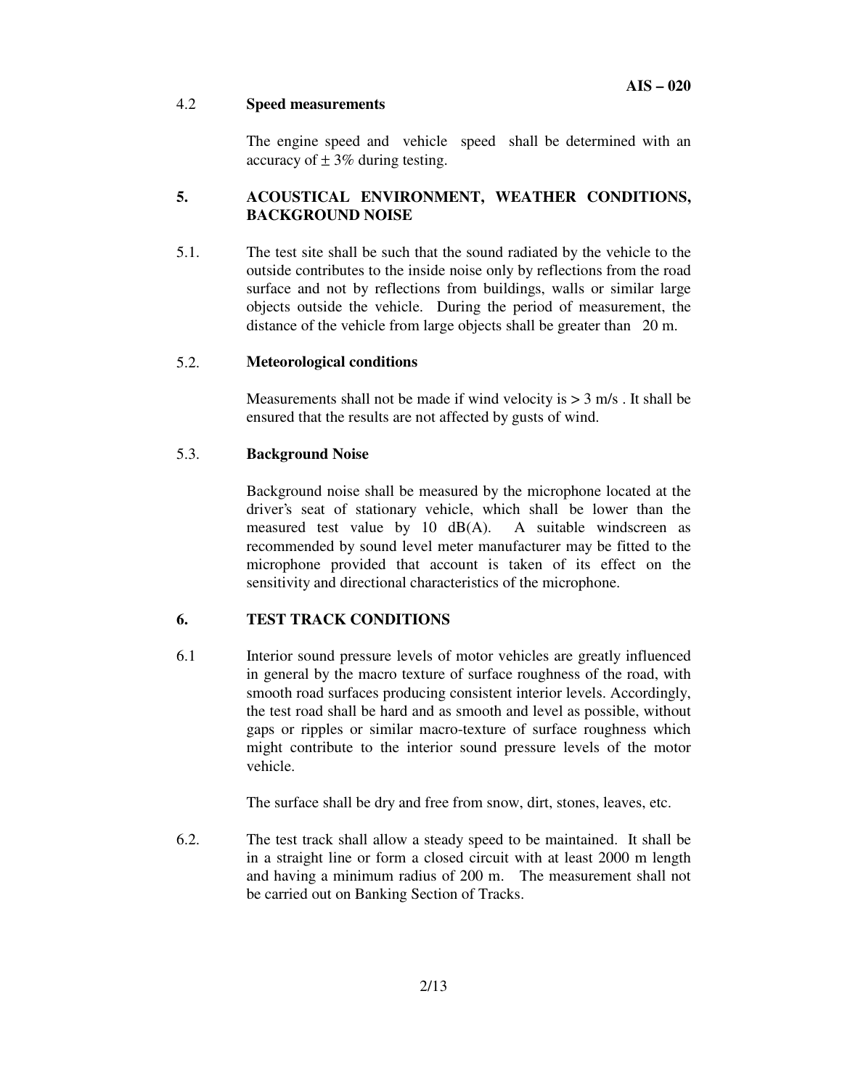### 4.2 **Speed measurements**

The engine speed and vehicle speed shall be determined with an accuracy of  $\pm$  3% during testing.

# **5. ACOUSTICAL ENVIRONMENT, WEATHER CONDITIONS, BACKGROUND NOISE**

5.1. The test site shall be such that the sound radiated by the vehicle to the outside contributes to the inside noise only by reflections from the road surface and not by reflections from buildings, walls or similar large objects outside the vehicle. During the period of measurement, the distance of the vehicle from large objects shall be greater than 20 m.

# 5.2. **Meteorological conditions**

Measurements shall not be made if wind velocity is  $> 3$  m/s. It shall be ensured that the results are not affected by gusts of wind.

# 5.3. **Background Noise**

Background noise shall be measured by the microphone located at the driver's seat of stationary vehicle, which shall be lower than the measured test value by 10 dB(A). A suitable windscreen as recommended by sound level meter manufacturer may be fitted to the microphone provided that account is taken of its effect on the sensitivity and directional characteristics of the microphone.

# **6. TEST TRACK CONDITIONS**

6.1 Interior sound pressure levels of motor vehicles are greatly influenced in general by the macro texture of surface roughness of the road, with smooth road surfaces producing consistent interior levels. Accordingly, the test road shall be hard and as smooth and level as possible, without gaps or ripples or similar macro-texture of surface roughness which might contribute to the interior sound pressure levels of the motor vehicle.

The surface shall be dry and free from snow, dirt, stones, leaves, etc.

6.2. The test track shall allow a steady speed to be maintained. It shall be in a straight line or form a closed circuit with at least 2000 m length and having a minimum radius of 200 m. The measurement shall not be carried out on Banking Section of Tracks.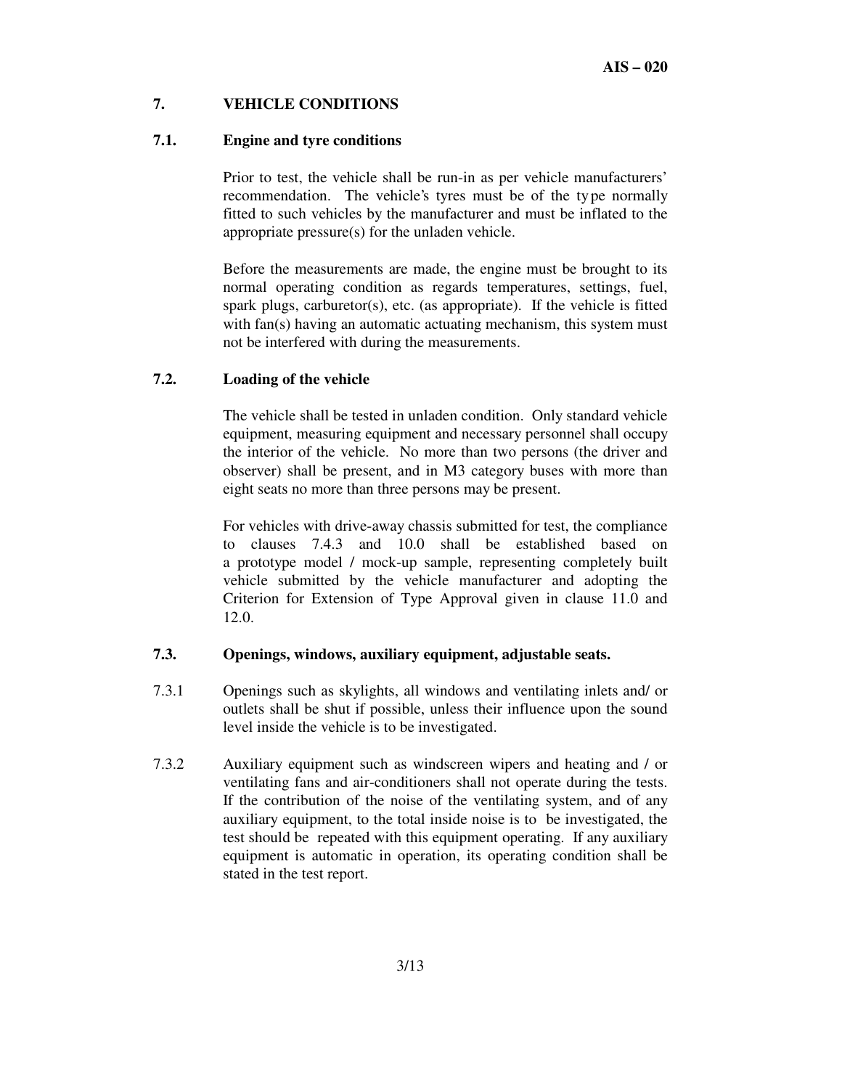#### **7. VEHICLE CONDITIONS**

#### **7.1. Engine and tyre conditions**

Prior to test, the vehicle shall be run-in as per vehicle manufacturers' recommendation. The vehicle's tyres must be of the type normally fitted to such vehicles by the manufacturer and must be inflated to the appropriate pressure(s) for the unladen vehicle.

Before the measurements are made, the engine must be brought to its normal operating condition as regards temperatures, settings, fuel, spark plugs, carburetor(s), etc. (as appropriate). If the vehicle is fitted with fan(s) having an automatic actuating mechanism, this system must not be interfered with during the measurements.

#### **7.2. Loading of the vehicle**

The vehicle shall be tested in unladen condition. Only standard vehicle equipment, measuring equipment and necessary personnel shall occupy the interior of the vehicle. No more than two persons (the driver and observer) shall be present, and in M3 category buses with more than eight seats no more than three persons may be present.

For vehicles with drive-away chassis submitted for test, the compliance to clauses 7.4.3 and 10.0 shall be established based on a prototype model / mock-up sample, representing completely built vehicle submitted by the vehicle manufacturer and adopting the Criterion for Extension of Type Approval given in clause 11.0 and 12.0.

# **7.3. Openings, windows, auxiliary equipment, adjustable seats.**

- 7.3.1 Openings such as skylights, all windows and ventilating inlets and/ or outlets shall be shut if possible, unless their influence upon the sound level inside the vehicle is to be investigated.
- 7.3.2 Auxiliary equipment such as windscreen wipers and heating and / or ventilating fans and air-conditioners shall not operate during the tests. If the contribution of the noise of the ventilating system, and of any auxiliary equipment, to the total inside noise is to be investigated, the test should be repeated with this equipment operating. If any auxiliary equipment is automatic in operation, its operating condition shall be stated in the test report.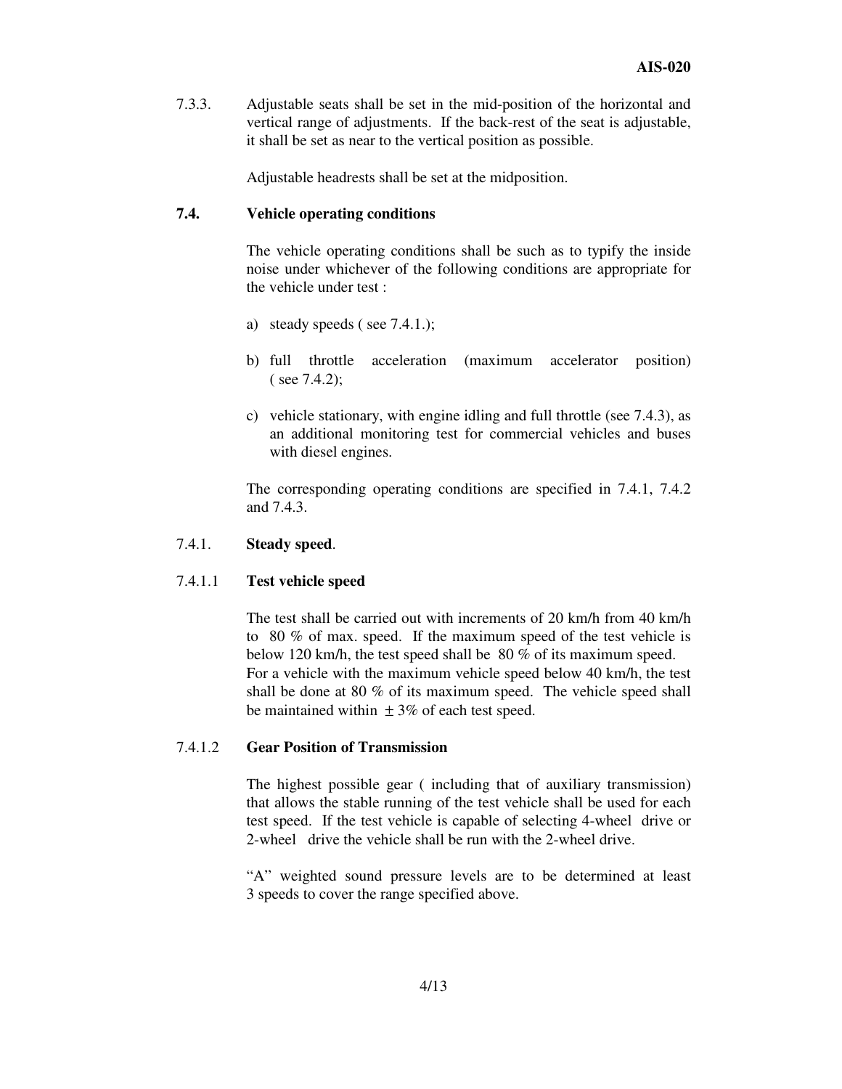7.3.3. Adjustable seats shall be set in the mid-position of the horizontal and vertical range of adjustments. If the back-rest of the seat is adjustable, it shall be set as near to the vertical position as possible.

Adjustable headrests shall be set at the midposition.

#### **7.4. Vehicle operating conditions**

The vehicle operating conditions shall be such as to typify the inside noise under whichever of the following conditions are appropriate for the vehicle under test :

- a) steady speeds ( see 7.4.1.);
- b) full throttle acceleration (maximum accelerator position) ( see 7.4.2);
- c) vehicle stationary, with engine idling and full throttle (see 7.4.3), as an additional monitoring test for commercial vehicles and buses with diesel engines.

The corresponding operating conditions are specified in 7.4.1, 7.4.2 and 7.4.3.

#### 7.4.1. **Steady speed**.

#### 7.4.1.1 **Test vehicle speed**

The test shall be carried out with increments of 20 km/h from 40 km/h to 80 % of max. speed. If the maximum speed of the test vehicle is below 120 km/h, the test speed shall be 80 % of its maximum speed. For a vehicle with the maximum vehicle speed below 40 km/h, the test shall be done at 80 % of its maximum speed. The vehicle speed shall be maintained within  $\pm 3\%$  of each test speed.

#### 7.4.1.2 **Gear Position of Transmission**

The highest possible gear ( including that of auxiliary transmission) that allows the stable running of the test vehicle shall be used for each test speed. If the test vehicle is capable of selecting 4-wheel drive or 2-wheel drive the vehicle shall be run with the 2-wheel drive.

"A" weighted sound pressure levels are to be determined at least 3 speeds to cover the range specified above.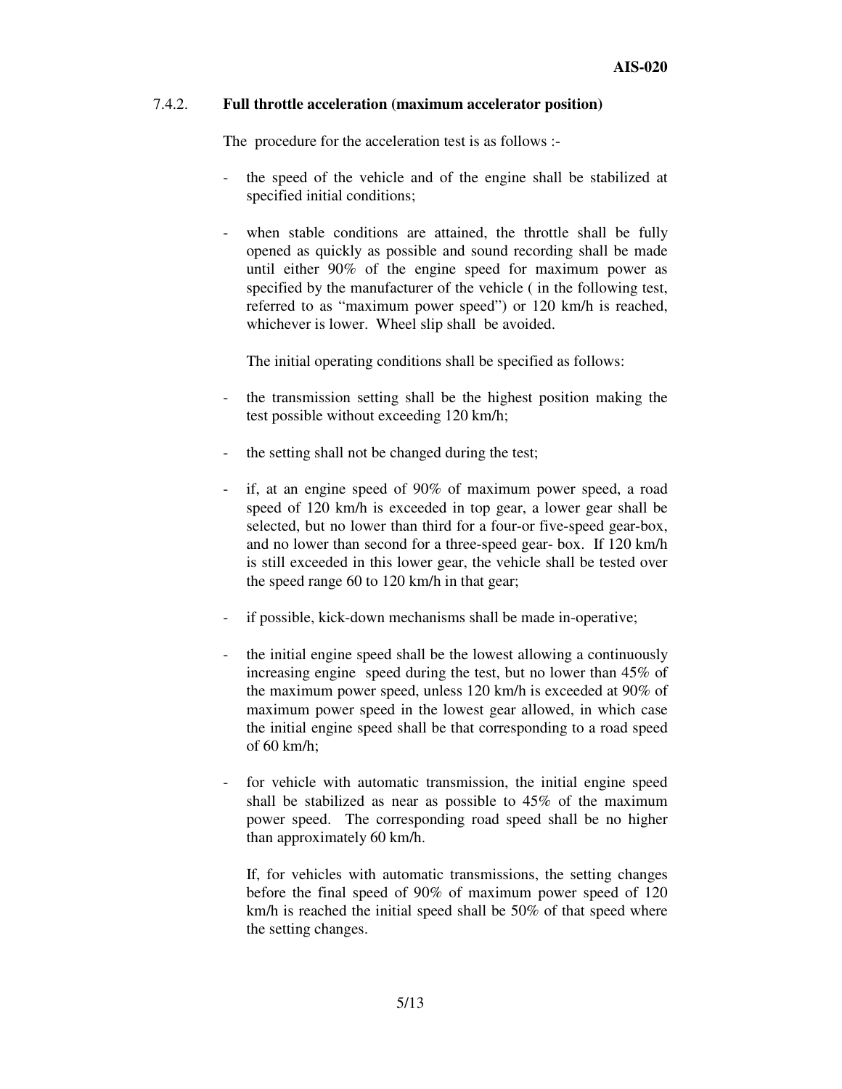#### 7.4.2. **Full throttle acceleration (maximum accelerator position)**

The procedure for the acceleration test is as follows :-

- the speed of the vehicle and of the engine shall be stabilized at specified initial conditions;
- when stable conditions are attained, the throttle shall be fully opened as quickly as possible and sound recording shall be made until either 90% of the engine speed for maximum power as specified by the manufacturer of the vehicle ( in the following test, referred to as "maximum power speed") or 120 km/h is reached, whichever is lower. Wheel slip shall be avoided.

The initial operating conditions shall be specified as follows:

- the transmission setting shall be the highest position making the test possible without exceeding 120 km/h;
- the setting shall not be changed during the test;
- if, at an engine speed of 90% of maximum power speed, a road speed of 120 km/h is exceeded in top gear, a lower gear shall be selected, but no lower than third for a four-or five-speed gear-box, and no lower than second for a three-speed gear- box. If 120 km/h is still exceeded in this lower gear, the vehicle shall be tested over the speed range 60 to 120 km/h in that gear;
- if possible, kick-down mechanisms shall be made in-operative;
- the initial engine speed shall be the lowest allowing a continuously increasing engine speed during the test, but no lower than 45% of the maximum power speed, unless 120 km/h is exceeded at 90% of maximum power speed in the lowest gear allowed, in which case the initial engine speed shall be that corresponding to a road speed of 60 km/h;
- for vehicle with automatic transmission, the initial engine speed shall be stabilized as near as possible to 45% of the maximum power speed. The corresponding road speed shall be no higher than approximately 60 km/h.

If, for vehicles with automatic transmissions, the setting changes before the final speed of 90% of maximum power speed of 120 km/h is reached the initial speed shall be 50% of that speed where the setting changes.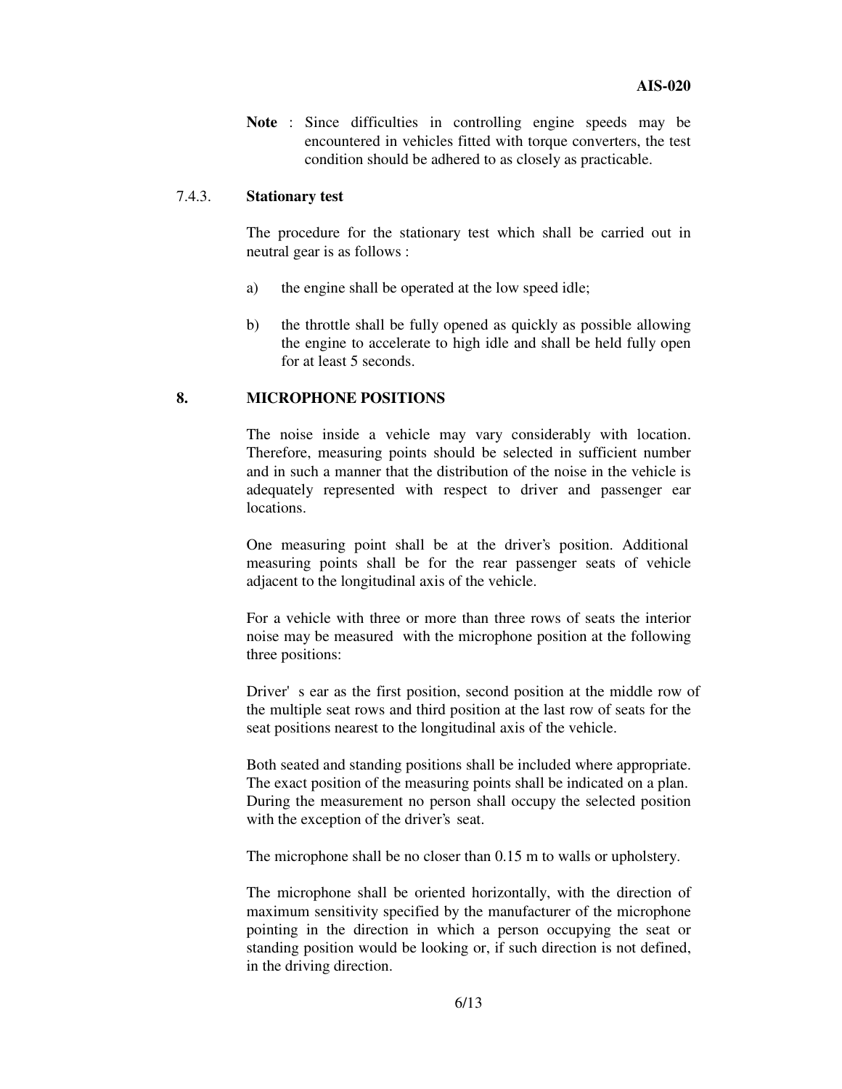**Note** : Since difficulties in controlling engine speeds may be encountered in vehicles fitted with torque converters, the test condition should be adhered to as closely as practicable.

#### 7.4.3. **Stationary test**

The procedure for the stationary test which shall be carried out in neutral gear is as follows :

- a) the engine shall be operated at the low speed idle;
- b) the throttle shall be fully opened as quickly as possible allowing the engine to accelerate to high idle and shall be held fully open for at least 5 seconds.

#### **8. MICROPHONE POSITIONS**

The noise inside a vehicle may vary considerably with location. Therefore, measuring points should be selected in sufficient number and in such a manner that the distribution of the noise in the vehicle is adequately represented with respect to driver and passenger ear locations.

One measuring point shall be at the driver's position. Additional measuring points shall be for the rear passenger seats of vehicle adjacent to the longitudinal axis of the vehicle.

For a vehicle with three or more than three rows of seats the interior noise may be measured with the microphone position at the following three positions:

Driver's ear as the first position, second position at the middle row of the multiple seat rows and third position at the last row of seats for the seat positions nearest to the longitudinal axis of the vehicle.

Both seated and standing positions shall be included where appropriate. The exact position of the measuring points shall be indicated on a plan. During the measurement no person shall occupy the selected position with the exception of the driver's seat.

The microphone shall be no closer than 0.15 m to walls or upholstery.

The microphone shall be oriented horizontally, with the direction of maximum sensitivity specified by the manufacturer of the microphone pointing in the direction in which a person occupying the seat or standing position would be looking or, if such direction is not defined, in the driving direction.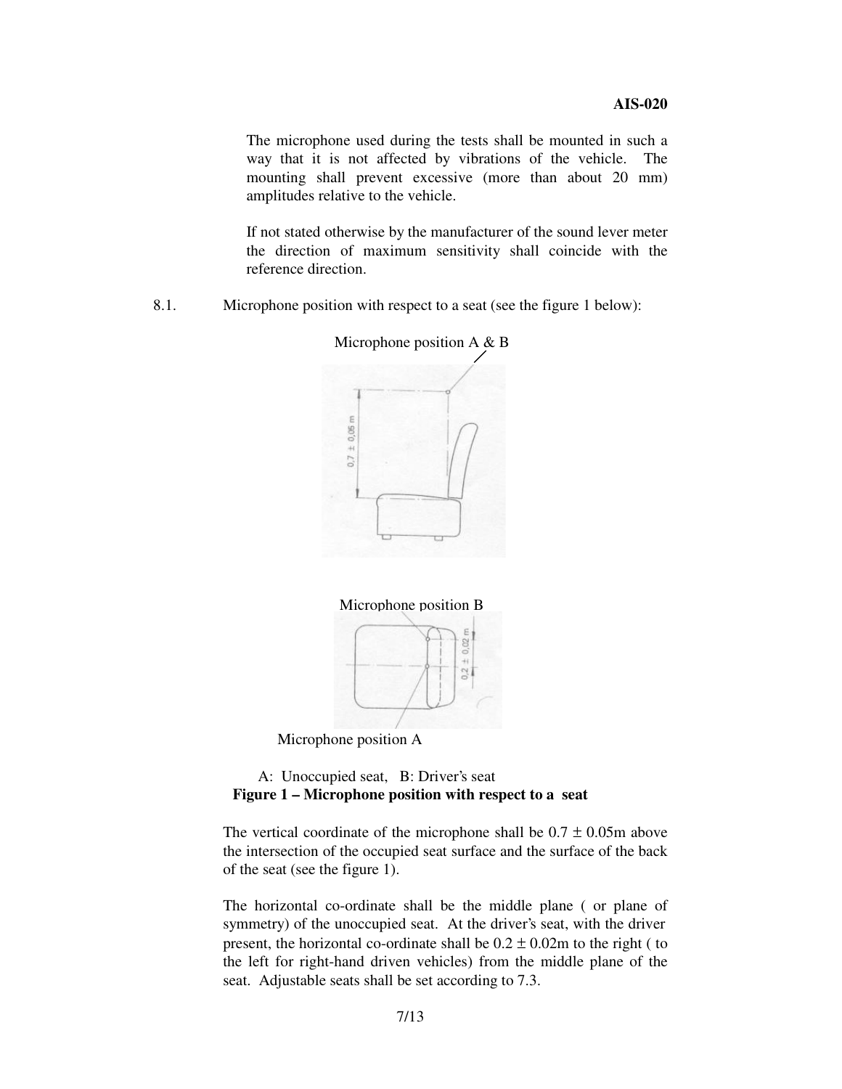The microphone used during the tests shall be mounted in such a way that it is not affected by vibrations of the vehicle. The mounting shall prevent excessive (more than about 20 mm) amplitudes relative to the vehicle.

If not stated otherwise by the manufacturer of the sound lever meter the direction of maximum sensitivity shall coincide with the reference direction.

8.1. Microphone position with respect to a seat (see the figure 1 below):







# A: Unoccupied seat, B: Driver's seat **Figure 1 – Microphone position with respect to a seat**

The vertical coordinate of the microphone shall be  $0.7 \pm 0.05$ m above the intersection of the occupied seat surface and the surface of the back of the seat (see the figure 1).

The horizontal co-ordinate shall be the middle plane ( or plane of symmetry) of the unoccupied seat. At the driver's seat, with the driver present, the horizontal co-ordinate shall be  $0.2 \pm 0.02$ m to the right ( to the left for right-hand driven vehicles) from the middle plane of the seat. Adjustable seats shall be set according to 7.3.

# Microphone position A & B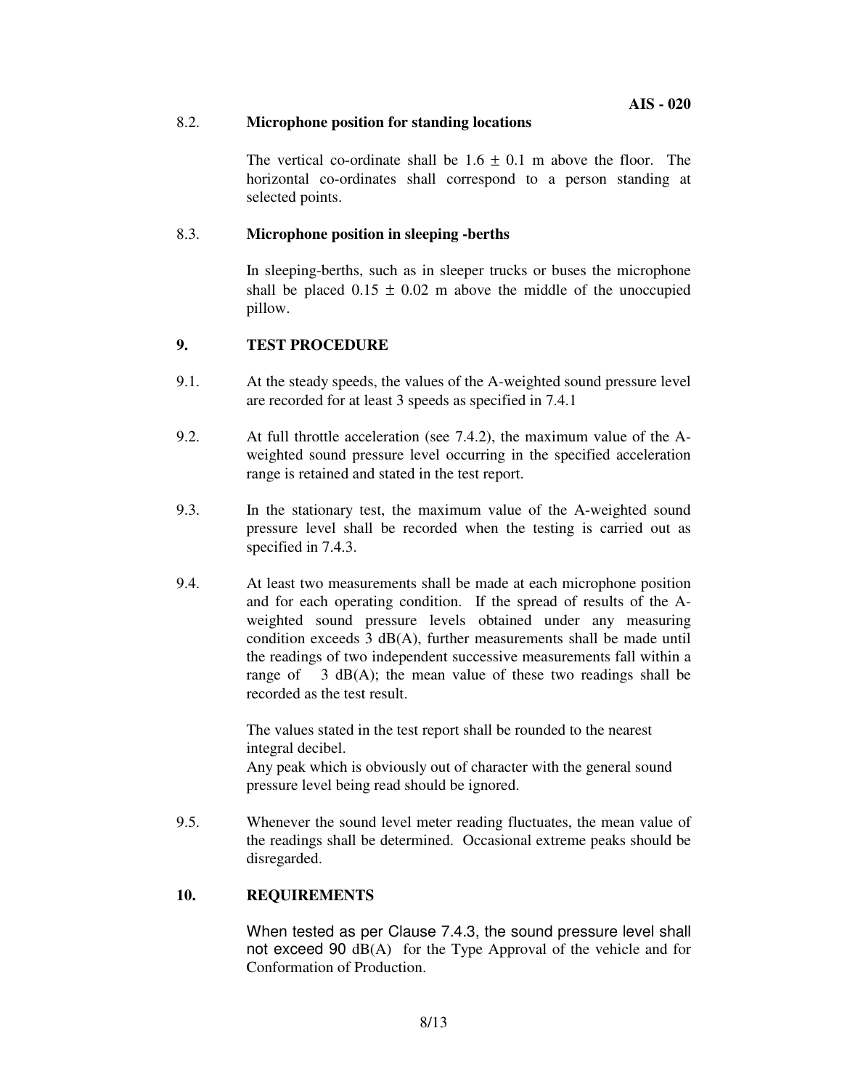#### 8.2. **Microphone position for standing locations**

The vertical co-ordinate shall be  $1.6 \pm 0.1$  m above the floor. The horizontal co-ordinates shall correspond to a person standing at selected points.

# 8.3. **Microphone position in sleeping -berths**

In sleeping-berths, such as in sleeper trucks or buses the microphone shall be placed  $0.15 \pm 0.02$  m above the middle of the unoccupied pillow.

# **9. TEST PROCEDURE**

- 9.1. At the steady speeds, the values of the A-weighted sound pressure level are recorded for at least 3 speeds as specified in 7.4.1
- 9.2. At full throttle acceleration (see 7.4.2), the maximum value of the Aweighted sound pressure level occurring in the specified acceleration range is retained and stated in the test report.
- 9.3. In the stationary test, the maximum value of the A-weighted sound pressure level shall be recorded when the testing is carried out as specified in 7.4.3.
- 9.4. At least two measurements shall be made at each microphone position and for each operating condition. If the spread of results of the Aweighted sound pressure levels obtained under any measuring condition exceeds 3 dB(A), further measurements shall be made until the readings of two independent successive measurements fall within a range of  $\beta$  dB(A); the mean value of these two readings shall be recorded as the test result.

The values stated in the test report shall be rounded to the nearest integral decibel.

Any peak which is obviously out of character with the general sound pressure level being read should be ignored.

9.5. Whenever the sound level meter reading fluctuates, the mean value of the readings shall be determined. Occasional extreme peaks should be disregarded.

#### **10. REQUIREMENTS**

When tested as per Clause 7.4.3, the sound pressure level shall not exceed 90 dB(A) for the Type Approval of the vehicle and for Conformation of Production.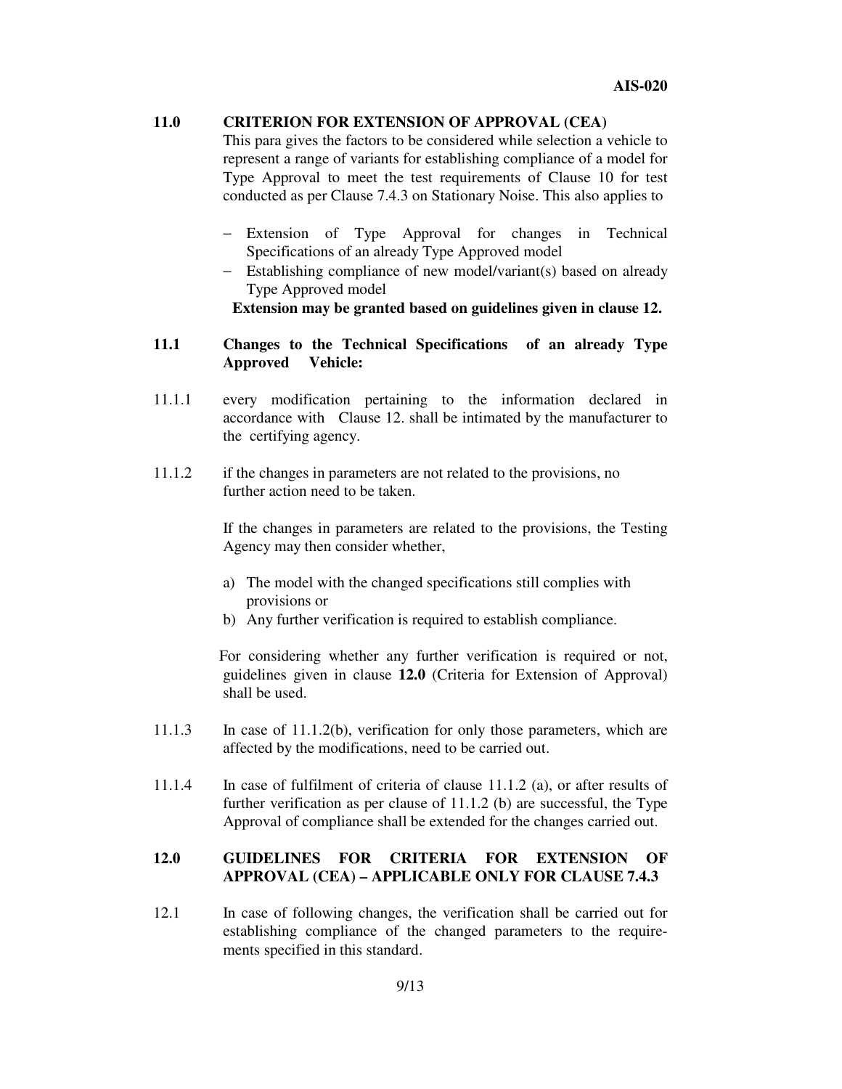#### **11.0 CRITERION FOR EXTENSION OF APPROVAL (CEA)**

This para gives the factors to be considered while selection a vehicle to represent a range of variants for establishing compliance of a model for Type Approval to meet the test requirements of Clause 10 for test conducted as per Clause 7.4.3 on Stationary Noise. This also applies to

- Extension of Type Approval for changes in Technical Specifications of an already Type Approved model
- − Establishing compliance of new model/variant(s) based on already Type Approved model

**Extension may be granted based on guidelines given in clause 12.** 

- **11.1 Changes to the Technical Specifications of an already Type Approved Vehicle:**
- 11.1.1 every modification pertaining to the information declared in accordance with Clause 12. shall be intimated by the manufacturer to the certifying agency.
- 11.1.2 if the changes in parameters are not related to the provisions, no further action need to be taken.

If the changes in parameters are related to the provisions, the Testing Agency may then consider whether,

- a) The model with the changed specifications still complies with provisions or
- b) Any further verification is required to establish compliance.

For considering whether any further verification is required or not, guidelines given in clause **12.0** (Criteria for Extension of Approval) shall be used.

- 11.1.3 In case of 11.1.2(b), verification for only those parameters, which are affected by the modifications, need to be carried out.
- 11.1.4 In case of fulfilment of criteria of clause 11.1.2 (a), or after results of further verification as per clause of 11.1.2 (b) are successful, the Type Approval of compliance shall be extended for the changes carried out.

# **12.0 GUIDELINES FOR CRITERIA FOR EXTENSION OF APPROVAL (CEA) – APPLICABLE ONLY FOR CLAUSE 7.4.3**

12.1 In case of following changes, the verification shall be carried out for establishing compliance of the changed parameters to the requirements specified in this standard.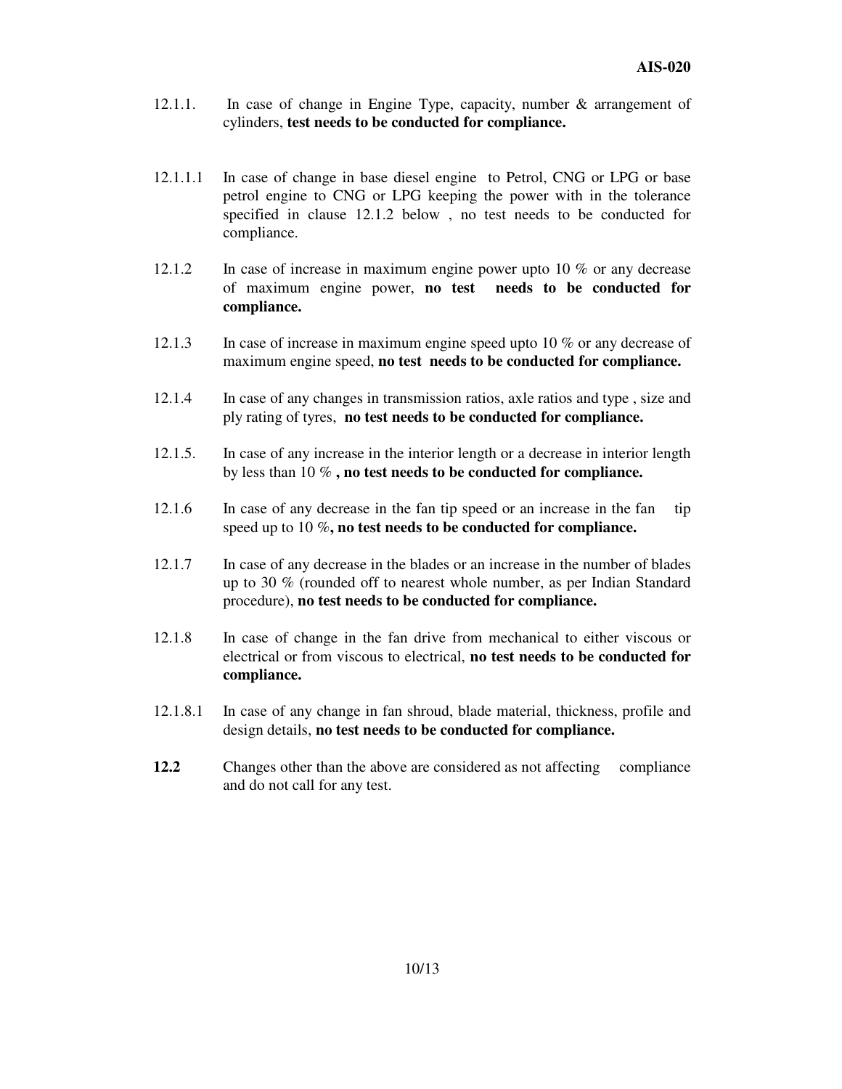- 12.1.1. In case of change in Engine Type, capacity, number & arrangement of cylinders, **test needs to be conducted for compliance.**
- 12.1.1.1 In case of change in base diesel engine to Petrol, CNG or LPG or base petrol engine to CNG or LPG keeping the power with in the tolerance specified in clause 12.1.2 below , no test needs to be conducted for compliance.
- 12.1.2 In case of increase in maximum engine power upto 10 % or any decrease of maximum engine power, **no test needs to be conducted for compliance.**
- 12.1.3 In case of increase in maximum engine speed upto 10 % or any decrease of maximum engine speed, **no test needs to be conducted for compliance.**
- 12.1.4 In case of any changes in transmission ratios, axle ratios and type , size and ply rating of tyres, **no test needs to be conducted for compliance.**
- 12.1.5. In case of any increase in the interior length or a decrease in interior length by less than 10 % **, no test needs to be conducted for compliance.**
- 12.1.6 In case of any decrease in the fan tip speed or an increase in the fan tip speed up to 10 %**, no test needs to be conducted for compliance.**
- 12.1.7 In case of any decrease in the blades or an increase in the number of blades up to 30 % (rounded off to nearest whole number, as per Indian Standard procedure), **no test needs to be conducted for compliance.**
- 12.1.8 In case of change in the fan drive from mechanical to either viscous or electrical or from viscous to electrical, **no test needs to be conducted for compliance.**
- 12.1.8.1 In case of any change in fan shroud, blade material, thickness, profile and design details, **no test needs to be conducted for compliance.**
- 12.2 Changes other than the above are considered as not affecting compliance and do not call for any test.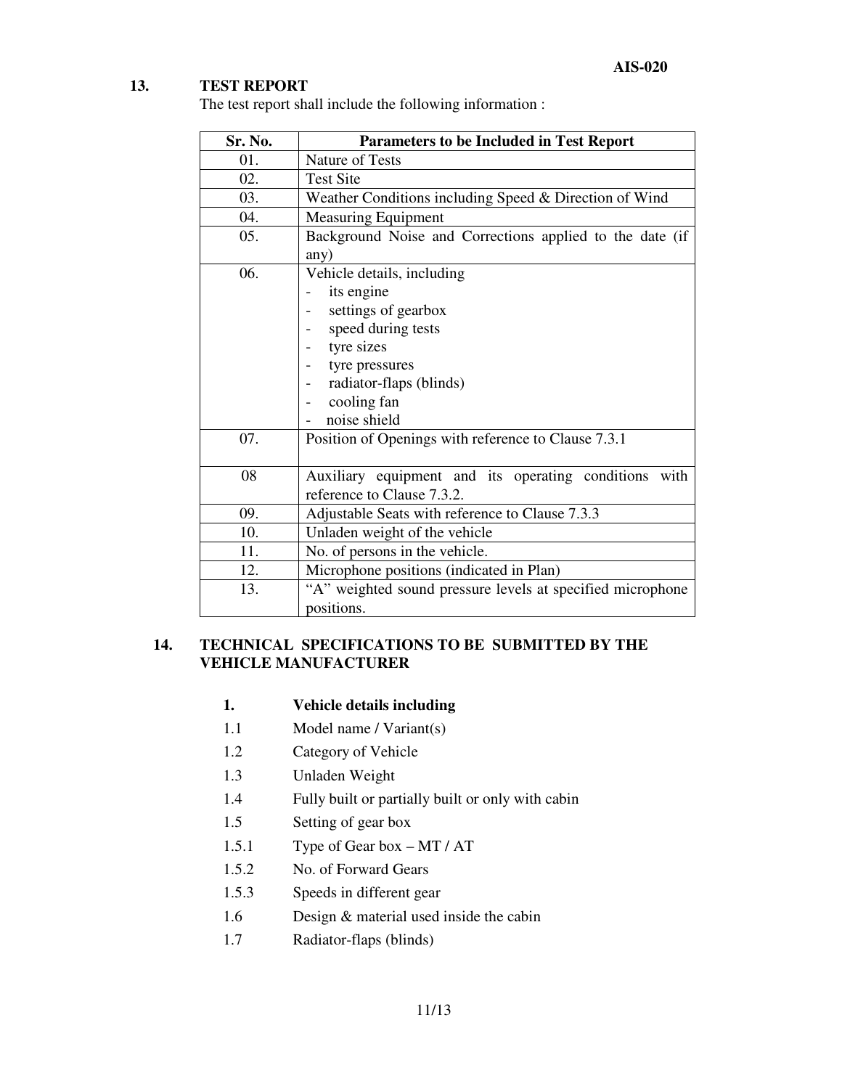# **13. TEST REPORT**

The test report shall include the following information :

| Sr. No. | Parameters to be Included in Test Report                                                                                                                                        |  |  |
|---------|---------------------------------------------------------------------------------------------------------------------------------------------------------------------------------|--|--|
| 01.     | Nature of Tests                                                                                                                                                                 |  |  |
| 02.     | <b>Test Site</b>                                                                                                                                                                |  |  |
| 03.     | Weather Conditions including Speed & Direction of Wind                                                                                                                          |  |  |
| 04.     | <b>Measuring Equipment</b>                                                                                                                                                      |  |  |
| 05.     | Background Noise and Corrections applied to the date (if<br>any)                                                                                                                |  |  |
| 06.     | Vehicle details, including<br>its engine<br>settings of gearbox<br>speed during tests<br>tyre sizes<br>tyre pressures<br>radiator-flaps (blinds)<br>cooling fan<br>noise shield |  |  |
| 07.     | Position of Openings with reference to Clause 7.3.1                                                                                                                             |  |  |
| 08      | Auxiliary equipment and its operating conditions<br>with<br>reference to Clause 7.3.2.                                                                                          |  |  |
| 09.     | Adjustable Seats with reference to Clause 7.3.3                                                                                                                                 |  |  |
| 10.     | Unladen weight of the vehicle                                                                                                                                                   |  |  |
| 11.     | No. of persons in the vehicle.                                                                                                                                                  |  |  |
| 12.     | Microphone positions (indicated in Plan)                                                                                                                                        |  |  |
| 13.     | "A" weighted sound pressure levels at specified microphone<br>positions.                                                                                                        |  |  |

# **14. TECHNICAL SPECIFICATIONS TO BE SUBMITTED BY THE VEHICLE MANUFACTURER**

- 1.1 Model name / Variant(s)
- 1.2 Category of Vehicle
- 1.3 Unladen Weight
- 1.4 Fully built or partially built or only with cabin
- 1.5 Setting of gear box
- 1.5.1 Type of Gear box MT / AT
- 1.5.2 No. of Forward Gears
- 1.5.3 Speeds in different gear
- 1.6 Design & material used inside the cabin
- 1.7 Radiator-flaps (blinds)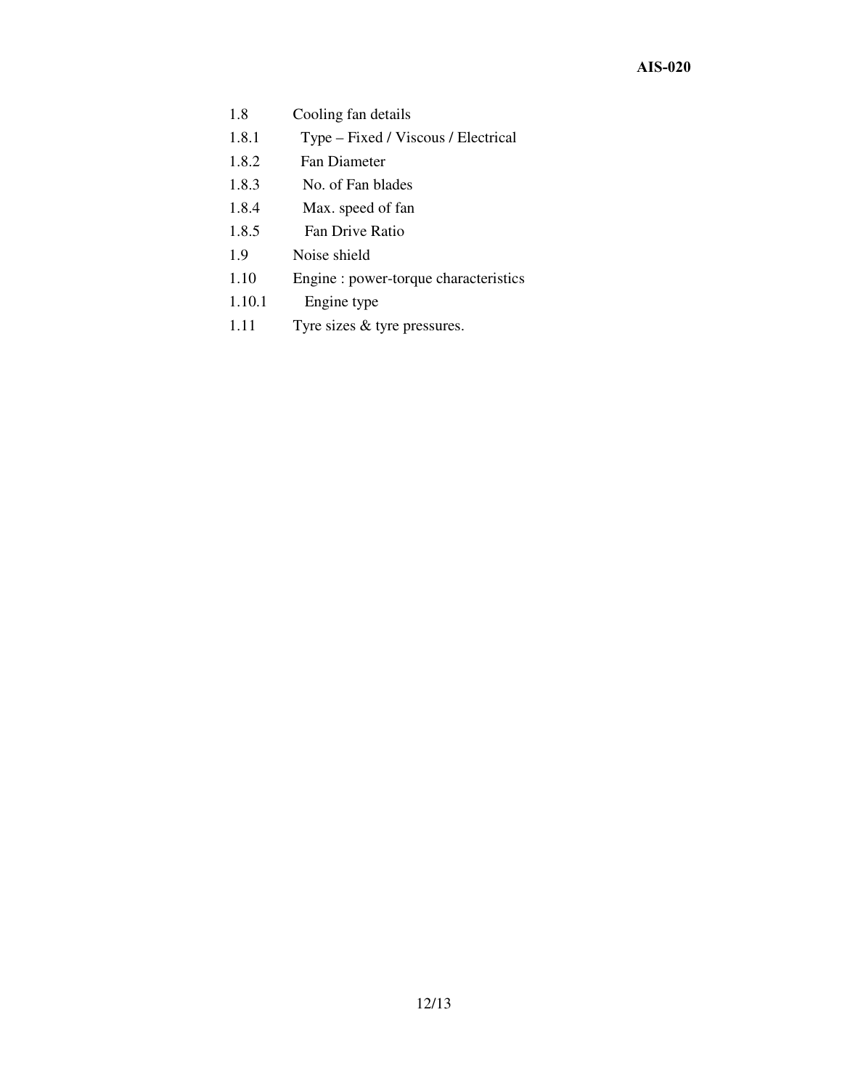- 1.8 Cooling fan details
- 1.8.1 Type Fixed / Viscous / Electrical
- 1.8.2 Fan Diameter
- 1.8.3 No. of Fan blades
- 1.8.4 Max. speed of fan
- 1.8.5 Fan Drive Ratio
- 1.9 Noise shield
- 1.10 Engine : power-torque characteristics
- 1.10.1 Engine type
- 1.11 Tyre sizes & tyre pressures.